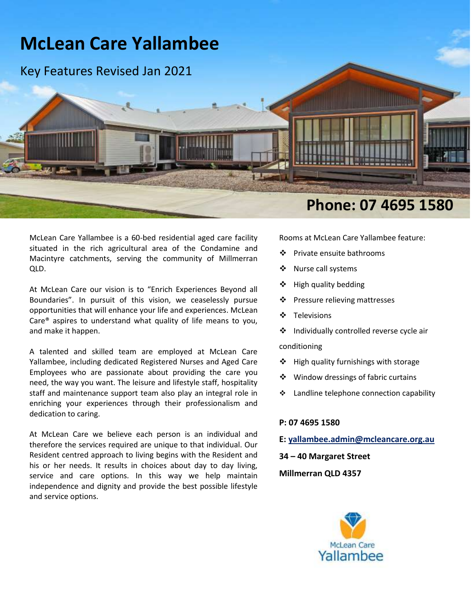

McLean Care Yallambee is a 60-bed residential aged care facility situated in the rich agricultural area of the Condamine and Macintyre catchments, serving the community of Millmerran QLD.

At McLean Care our vision is to "Enrich Experiences Beyond all Boundaries". In pursuit of this vision, we ceaselessly pursue opportunities that will enhance your life and experiences. McLean Care® aspires to understand what quality of life means to you, and make it happen.

A talented and skilled team are employed at McLean Care Yallambee, including dedicated Registered Nurses and Aged Care Employees who are passionate about providing the care you need, the way you want. The leisure and lifestyle staff, hospitality staff and maintenance support team also play an integral role in enriching your experiences through their professionalism and dedication to caring.

At McLean Care we believe each person is an individual and therefore the services required are unique to that individual. Our Resident centred approach to living begins with the Resident and his or her needs. It results in choices about day to day living, service and care options. In this way we help maintain independence and dignity and provide the best possible lifestyle and service options.

Rooms at McLean Care Yallambee feature:

- ❖ Private ensuite bathrooms
- ❖ Nurse call systems
- $\div$  High quality bedding
- ❖ Pressure relieving mattresses
- ❖ Televisions
- ❖ Individually controlled reverse cycle air conditioning
- $\div$  High quality furnishings with storage
- ❖ Window dressings of fabric curtains
- ❖ Landline telephone connection capability

### **P: 07 4695 1580**

**E: [yallambee.admin@mcleancare.org.au](mailto:yallambee.admin@mcleancare.org.au)**

**34 – 40 Margaret Street**

### **Millmerran QLD 4357**

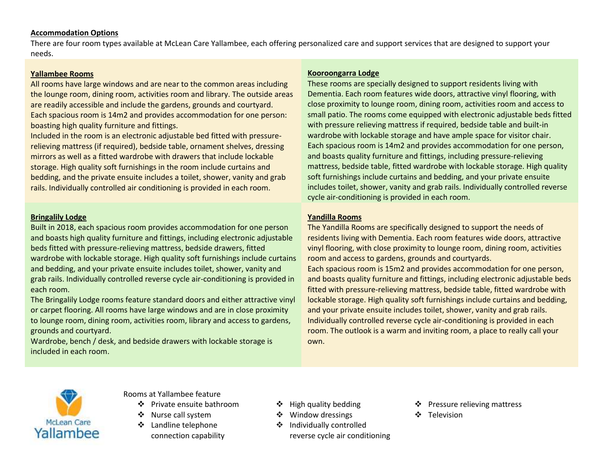#### **Accommodation Options**

There are four room types available at McLean Care Yallambee, each offering personalized care and support services that are designed to support your needs.

### **Yallambee Rooms**

All rooms have large windows and are near to the common areas including the lounge room, dining room, activities room and library. The outside areas are readily accessible and include the gardens, grounds and courtyard. Each spacious room is 14m2 and provides accommodation for one person: boasting high quality furniture and fittings.

Included in the room is an electronic adjustable bed fitted with pressurerelieving mattress (if required), bedside table, ornament shelves, dressing mirrors as well as a fitted wardrobe with drawers that include lockable storage. High quality soft furnishings in the room include curtains and bedding, and the private ensuite includes a toilet, shower, vanity and grab rails. Individually controlled air conditioning is provided in each room.

## **Bringalily Lodge**

Built in 2018, each spacious room provides accommodation for one person and boasts high quality furniture and fittings, including electronic adjustable beds fitted with pressure-relieving mattress, bedside drawers, fitted wardrobe with lockable storage. High quality soft furnishings include curtains and bedding, and your private ensuite includes toilet, shower, vanity and grab rails. Individually controlled reverse cycle air-conditioning is provided in each room.

The Bringalily Lodge rooms feature standard doors and either attractive vinyl or carpet flooring. All rooms have large windows and are in close proximity to lounge room, dining room, activities room, library and access to gardens, grounds and courtyard.

Wardrobe, bench / desk, and bedside drawers with lockable storage is included in each room.

### **Kooroongarra Lodge**

These rooms are specially designed to support residents living with Dementia. Each room features wide doors, attractive vinyl flooring, with close proximity to lounge room, dining room, activities room and access to small patio. The rooms come equipped with electronic adjustable beds fitted with pressure relieving mattress if required, bedside table and built-in wardrobe with lockable storage and have ample space for visitor chair. Each spacious room is 14m2 and provides accommodation for one person, and boasts quality furniture and fittings, including pressure-relieving mattress, bedside table, fitted wardrobe with lockable storage. High quality soft furnishings include curtains and bedding, and your private ensuite includes toilet, shower, vanity and grab rails. Individually controlled reverse cycle air-conditioning is provided in each room.

## **Yandilla Rooms**

The Yandilla Rooms are specifically designed to support the needs of residents living with Dementia. Each room features wide doors, attractive vinyl flooring, with close proximity to lounge room, dining room, activities room and access to gardens, grounds and courtyards.

Each spacious room is 15m2 and provides accommodation for one person, and boasts quality furniture and fittings, including electronic adjustable beds fitted with pressure-relieving mattress, bedside table, fitted wardrobe with lockable storage. High quality soft furnishings include curtains and bedding, and your private ensuite includes toilet, shower, vanity and grab rails. Individually controlled reverse cycle air-conditioning is provided in each room. The outlook is a warm and inviting room, a place to really call your own.



Rooms at Yallambee feature

- 
- Nurse call system Window dressings Television
- ❖ Landline telephone connection capability
- 
- 
- ❖ Individually controlled
	- reverse cycle air conditioning
- Private ensuite bathroom • High quality bedding • Pressure relieving mattress
	-